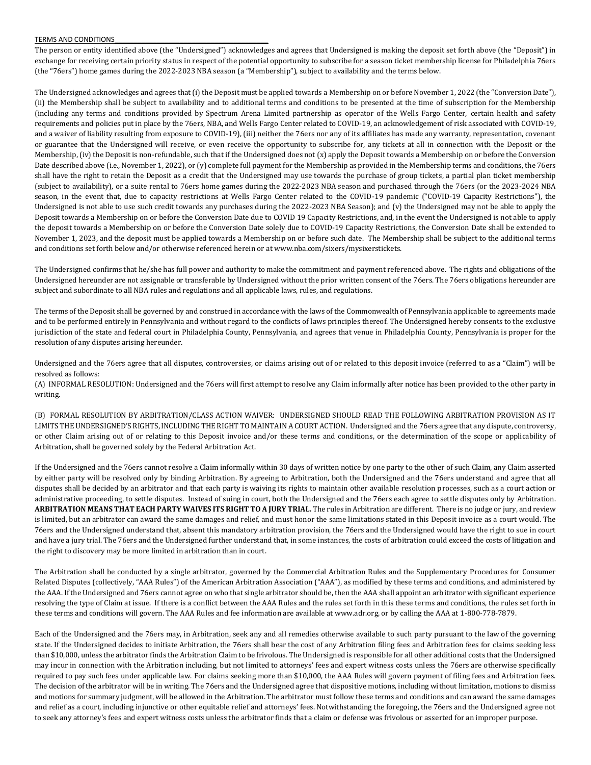## TERMS AND CONDITIONS

The person or entity identified above (the "Undersigned") acknowledges and agrees that Undersigned is making the deposit set forth above (the "Deposit") in exchange for receiving certain priority status in respect of the potential opportunity to subscribe for a season ticket membership license for Philadelphia 76ers (the "76ers") home games during the 2022-2023 NBA season (a "Membership"), subject to availability and the terms below.

The Undersigned acknowledges and agrees that (i) the Deposit must be applied towards a Membership on or before November 1, 2022 (the "Conversion Date"), (ii) the Membership shall be subject to availability and to additional terms and conditions to be presented at the time of subscription for the Membership (including any terms and conditions provided by Spectrum Arena Limited partnership as operator of the Wells Fargo Center, certain health and safety requirements and policies put in place by the 76ers, NBA, and Wells Fargo Center related to COVID-19, an acknowledgement of risk associated with COVID-19, and a waiver of liability resulting from exposure to COVID-19), (iii) neither the 76ers nor any of its affiliates has made any warranty, representation, covenant or guarantee that the Undersigned will receive, or even receive the opportunity to subscribe for, any tickets at all in connection with the Deposit or the Membership, (iv) the Deposit is non-refundable, such that if the Undersigned does not (x) apply the Deposit towards a Membership on or before the Conversion Date described above (i.e., November 1, 2022), or (y) complete full payment for the Membership as provided in the Membership terms and conditions, the 76ers shall have the right to retain the Deposit as a credit that the Undersigned may use towards the purchase of group tickets, a partial plan ticket membership (subject to availability), or a suite rental to 76ers home games during the 2022-2023 NBA season and purchased through the 76ers (or the 2023-2024 NBA season, in the event that, due to capacity restrictions at Wells Fargo Center related to the COVID-19 pandemic ("COVID-19 Capacity Restrictions"), the Undersigned is not able to use such credit towards any purchases during the 2022-2023 NBA Season); and (v) the Undersigned may not be able to apply the Deposit towards a Membership on or before the Conversion Date due to COVID 19 Capacity Restrictions, and, in the event the Undersigned is not able to apply the deposit towards a Membership on or before the Conversion Date solely due to COVID-19 Capacity Restrictions, the Conversion Date shall be extended to November 1, 2023, and the deposit must be applied towards a Membership on or before such date. The Membership shall be subject to the additional terms and conditions set forth below and/or otherwise referenced herein or at www.nba.com/sixers/mysixerstickets.

The Undersigned confirms that he/she has full power and authority to make the commitment and payment referenced above. The rights and obligations of the Undersigned hereunder are not assignable or transferable by Undersigned without the prior written consent of the 76ers. The 76ers obligations hereunder are subject and subordinate to all NBA rules and regulations and all applicable laws, rules, and regulations.

The terms of the Deposit shall be governed by and construed in accordance with the laws of the Commonwealth of Pennsylvania applicable to agreements made and to be performed entirely in Pennsylvania and without regard to the conflicts of laws principles thereof. The Undersigned hereby consents to the exclusive jurisdiction of the state and federal court in Philadelphia County, Pennsylvania, and agrees that venue in Philadelphia County, Pennsylvania is proper for the resolution of any disputes arising hereunder.

Undersigned and the 76ers agree that all disputes, controversies, or claims arising out of or related to this deposit invoice (referred to as a "Claim") will be resolved as follows:

(A) INFORMAL RESOLUTION: Undersigned and the 76ers will first attempt to resolve any Claim informally after notice has been provided to the other party in writing.

(B) FORMAL RESOLUTION BY ARBITRATION/CLASS ACTION WAIVER: UNDERSIGNED SHOULD READ THE FOLLOWING ARBITRATION PROVISION AS IT LIMITS THE UNDERSIGNED'S RIGHTS, INCLUDING THE RIGHT TO MAINTAIN A COURT ACTION. Undersigned and the 76ers agree that any dispute, controversy, or other Claim arising out of or relating to this Deposit invoice and/or these terms and conditions, or the determination of the scope or applicability of Arbitration, shall be governed solely by the Federal Arbitration Act.

If the Undersigned and the 76ers cannot resolve a Claim informally within 30 days of written notice by one party to the other of such Claim, any Claim asserted by either party will be resolved only by binding Arbitration. By agreeing to Arbitration, both the Undersigned and the 76ers understand and agree that all disputes shall be decided by an arbitrator and that each party is waiving its rights to maintain other available resolution processes, such as a court action or administrative proceeding, to settle disputes. Instead of suing in court, both the Undersigned and the 76ers each agree to settle disputes only by Arbitration. **ARBITRATION MEANS THAT EACH PARTY WAIVES ITS RIGHT TO A JURY TRIAL.** The rules in Arbitration are different. There is no judge or jury, and review is limited, but an arbitrator can award the same damages and relief, and must honor the same limitations stated in this Deposit invoice as a court would. The 76ers and the Undersigned understand that, absent this mandatory arbitration provision, the 76ers and the Undersigned would have the right to sue in court and have a jury trial. The 76ers and the Undersigned further understand that, in some instances, the costs of arbitration could exceed the costs of litigation and the right to discovery may be more limited in arbitration than in court.

The Arbitration shall be conducted by a single arbitrator, governed by the Commercial Arbitration Rules and the Supplementary Procedures for Consumer Related Disputes (collectively, "AAA Rules") of the American Arbitration Association ("AAA"), as modified by these terms and conditions, and administered by the AAA. If the Undersigned and 76ers cannot agree on who that single arbitrator should be, then the AAA shall appoint an arbitrator with significant experience resolving the type of Claim at issue. If there is a conflict between the AAA Rules and the rules set forth in this these terms and conditions, the rules set forth in these terms and conditions will govern. The AAA Rules and fee information are available at www.adr.org, or by calling the AAA at 1-800-778-7879.

Each of the Undersigned and the 76ers may, in Arbitration, seek any and all remedies otherwise available to such party pursuant to the law of the governing state. If the Undersigned decides to initiate Arbitration, the 76ers shall bear the cost of any Arbitration filing fees and Arbitration fees for claims seeking less than \$10,000, unless the arbitrator finds the Arbitration Claim to be frivolous. The Undersigned is responsible for all other additional costs that the Undersigned may incur in connection with the Arbitration including, but not limited to attorneys' fees and expert witness costs unless the 76ers are otherwise specifically required to pay such fees under applicable law. For claims seeking more than \$10,000, the AAA Rules will govern payment of filing fees and Arbitration fees. The decision of the arbitrator will be in writing. The 76ers and the Undersigned agree that dispositive motions, including without limitation, motions to dismiss and motions for summary judgment, will be allowed in the Arbitration. The arbitrator must follow these terms and conditions and can award the same damages and relief as a court, including injunctive or other equitable relief and attorneys' fees. Notwithstanding the foregoing, the 76ers and the Undersigned agree not to seek any attorney's fees and expert witness costs unless the arbitrator finds that a claim or defense was frivolous or asserted for an improper purpose.